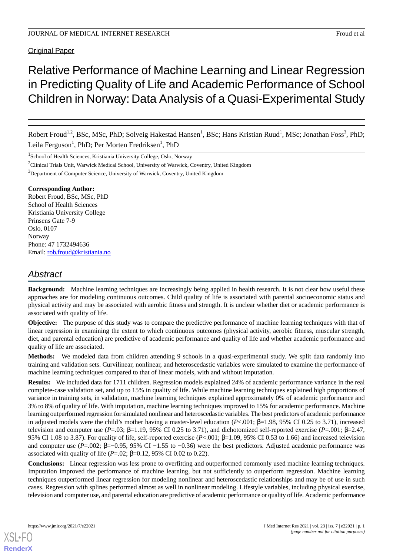## **Original Paper**

# Relative Performance of Machine Learning and Linear Regression in Predicting Quality of Life and Academic Performance of School Children in Norway: Data Analysis of a Quasi-Experimental Study

Robert Froud<sup>1,2</sup>, BSc, MSc, PhD; Solveig Hakestad Hansen<sup>1</sup>, BSc; Hans Kristian Ruud<sup>1</sup>, MSc; Jonathan Foss<sup>3</sup>, PhD; Leila Ferguson<sup>1</sup>, PhD; Per Morten Fredriksen<sup>1</sup>, PhD

<sup>1</sup>School of Health Sciences, Kristiania University College, Oslo, Norway

<sup>2</sup>Clinical Trials Unit, Warwick Medical School, University of Warwick, Coventry, United Kingdom

<sup>3</sup>Department of Computer Science, University of Warwick, Coventry, United Kingdom

#### **Corresponding Author:**

Robert Froud, BSc, MSc, PhD School of Health Sciences Kristiania University College Prinsens Gate 7-9 Oslo, 0107 Norway Phone: 47 1732494636 Email: [rob.froud@kristiania.no](mailto:rob.froud@kristiania.no)

## *Abstract*

**Background:** Machine learning techniques are increasingly being applied in health research. It is not clear how useful these approaches are for modeling continuous outcomes. Child quality of life is associated with parental socioeconomic status and physical activity and may be associated with aerobic fitness and strength. It is unclear whether diet or academic performance is associated with quality of life.

**Objective:** The purpose of this study was to compare the predictive performance of machine learning techniques with that of linear regression in examining the extent to which continuous outcomes (physical activity, aerobic fitness, muscular strength, diet, and parental education) are predictive of academic performance and quality of life and whether academic performance and quality of life are associated.

**Methods:** We modeled data from children attending 9 schools in a quasi-experimental study. We split data randomly into training and validation sets. Curvilinear, nonlinear, and heteroscedastic variables were simulated to examine the performance of machine learning techniques compared to that of linear models, with and without imputation.

**Results:** We included data for 1711 children. Regression models explained 24% of academic performance variance in the real complete-case validation set, and up to 15% in quality of life. While machine learning techniques explained high proportions of variance in training sets, in validation, machine learning techniques explained approximately 0% of academic performance and 3% to 8% of quality of life. With imputation, machine learning techniques improved to 15% for academic performance. Machine learning outperformed regression for simulated nonlinear and heteroscedastic variables. The best predictors of academic performance in adjusted models were the child's mother having a master-level education (*P*<.001; β=1.98, 95% CI 0.25 to 3.71), increased television and computer use  $(P=0.03; \beta=1.19, 95\%$  CI 0.25 to 3.71), and dichotomized self-reported exercise  $(P=0.01; \beta=2.47,$ 95% CI 1.08 to 3.87). For quality of life, self-reported exercise (*P*<.001; β=1.09, 95% CI 0.53 to 1.66) and increased television and computer use (*P*=.002; β=−0.95, 95% CI −1.55 to −0.36) were the best predictors. Adjusted academic performance was associated with quality of life ( $P = .02$ ;  $β = 0.12$ , 95% CI 0.02 to 0.22).

**Conclusions:** Linear regression was less prone to overfitting and outperformed commonly used machine learning techniques. Imputation improved the performance of machine learning, but not sufficiently to outperform regression. Machine learning techniques outperformed linear regression for modeling nonlinear and heteroscedastic relationships and may be of use in such cases. Regression with splines performed almost as well in nonlinear modeling. Lifestyle variables, including physical exercise, television and computer use, and parental education are predictive of academic performance or quality of life. Academic performance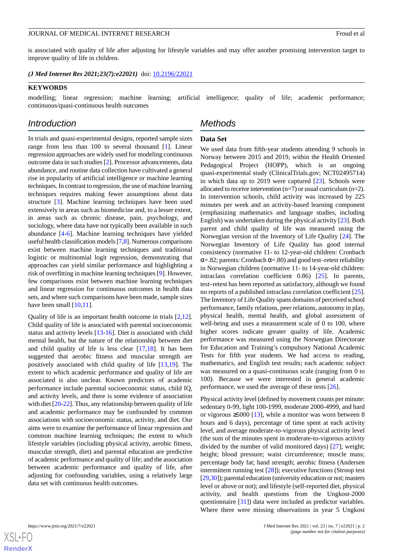is associated with quality of life after adjusting for lifestyle variables and may offer another promising intervention target to improve quality of life in children.

*(J Med Internet Res 2021;23(7):e22021)* doi:  $10.2196/22021$ 

#### **KEYWORDS**

modelling; linear regression; machine learning; artificial intelligence; quality of life; academic performance; continuous/quasi-continuous health outcomes

## *Introduction*

In trials and quasi-experimental designs, reported sample sizes range from less than 100 to several thousand [\[1](#page-12-0)]. Linear regression approaches are widely used for modeling continuous outcome data in such studies [\[2\]](#page-12-1). Processor advancements, data abundance, and routine data collection have cultivated a general rise in popularity of artificial intelligence or machine learning techniques. In contrast to regression, the use of machine learning techniques requires making fewer assumptions about data structure [[3\]](#page-12-2). Machine learning techniques have been used extensively in areas such as biomedicine and, to a lesser extent, in areas such as chronic disease, pain, psychology, and sociology, where data have not typically been available in such abundance [[4-](#page-12-3)[6](#page-12-4)]. Machine learning techniques have yielded useful health classification models [\[7](#page-12-5)[,8](#page-12-6)]. Numerous comparisons exist between machine learning techniques and traditional logistic or multinomial logit regression, demonstrating that approaches can yield similar performance and highlighting a risk of overfitting in machine learning techniques [\[9\]](#page-12-7). However, few comparisons exist between machine learning techniques and linear regression for continuous outcomes in health data sets, and where such comparisons have been made, sample sizes have been small  $[10,11]$  $[10,11]$  $[10,11]$ .

Quality of life is an important health outcome in trials [\[2](#page-12-1),[12\]](#page-12-10). Child quality of life is associated with parental socioeconomic status and activity levels [\[13](#page-12-11)-[16\]](#page-12-12). Diet is associated with child mental health, but the nature of the relationship between diet and child quality of life is less clear [\[17](#page-12-13),[18\]](#page-13-0). It has been suggested that aerobic fitness and muscular strength are positively associated with child quality of life [\[13](#page-12-11),[19\]](#page-13-1). The extent to which academic performance and quality of life are associated is also unclear. Known predictors of academic performance include parental socioeconomic status, child IQ, and activity levels, and there is some evidence of association with diet [\[20](#page-13-2)-[22\]](#page-13-3). Thus, any relationship between quality of life and academic performance may be confounded by common associations with socioeconomic status, activity, and diet. Our aims were to examine the performance of linear regression and common machine learning techniques; the extent to which lifestyle variables (including physical activity, aerobic fitness, muscular strength, diet) and parental education are predictive of academic performance and quality of life; and the association between academic performance and quality of life, after adjusting for confounding variables, using a relatively large data set with continuous health outcomes.

## *Methods*

#### **Data Set**

We used data from fifth-year students attending 9 schools in Norway between 2015 and 2019, within the Health Oriented Pedagogical Project (HOPP), which is an ongoing quasi-experimental study (ClinicalTrials.gov; NCT02495714) in which data up to 2019 were captured [\[23](#page-13-4)]. Schools were allocated to receive intervention  $(n=7)$  or usual curriculum  $(n=2)$ . In intervention schools, child activity was increased by 225 minutes per week and an activity-based learning component (emphasizing mathematics and language studies, including English) was undertaken during the physical activity [[23\]](#page-13-4). Both parent and child quality of life was measured using the Norwegian version of the Inventory of Life Quality [\[24](#page-13-5)]. The Norwegian Inventory of Life Quality has good internal consistency (normative 11- to 12-year-old children: Cronbach  $\alpha = 82$ ; parents: Cronbach  $\alpha = 80$ ) and good test–retest reliability in Norwegian children (normative 11- to 14-year-old children: intraclass correlation coefficient 0.86) [[25\]](#page-13-6). In parents, test–retest has been reported as satisfactory, although we found no reports of a published intraclass correlation coefficient [[25\]](#page-13-6). The Inventory of Life Quality spans domains of perceived school performance, family relations, peer relations, autonomy in play, physical health, mental health, and global assessment of well-being and uses a measurement scale of 0 to 100, where higher scores indicate greater quality of life. Academic performance was measured using the Norwegian Directorate for Education and Training's compulsory National Academic Tests for fifth year students. We had access to reading, mathematics, and English test results; each academic subject was measured on a quasi-continuous scale (ranging from 0 to 100). Because we were interested in general academic performance, we used the average of these tests [[26\]](#page-13-7).

Physical activity level (defined by movement counts per minute: sedentary 0-99, light 100-1999, moderate 2000-4999, and hard or vigorous  $\geq 5000$  [\[13](#page-12-11)], while a monitor was worn between 8 hours and 6 days), percentage of time spent at each activity level, and average moderate-to-vigorous physical activity level (the sum of the minutes spent in moderate-to-vigorous activity divided by the number of valid monitored days) [[27\]](#page-13-8); weight; height; blood pressure; waist circumference; muscle mass; percentage body fat; hand strength; aerobic fitness (Andersen intermittent running test [[28\]](#page-13-9)); executive functions (Stroop test [[29,](#page-13-10)[30\]](#page-13-11)); parental education (university education or not; masters level or above or not); and lifestyle (self-reported diet, physical activity, and health questions from the Ungkost-2000 questionnaire [[31\]](#page-13-12)) data were included as predictor variables. Where there were missing observations in year 5 Ungkost

 $XSI - F($ **[RenderX](http://www.renderx.com/)**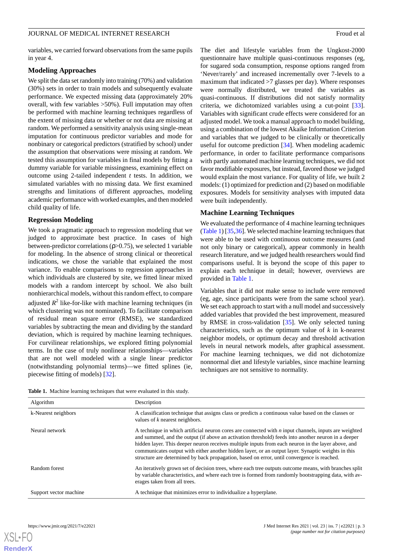variables, we carried forward observations from the same pupils in year 4.

#### **Modeling Approaches**

We split the data set randomly into training (70%) and validation (30%) sets in order to train models and subsequently evaluate performance. We expected missing data (approximately 20% overall, with few variables >50%). Full imputation may often be performed with machine learning techniques regardless of the extent of missing data or whether or not data are missing at random. We performed a sensitivity analysis using single-mean imputation for continuous predictor variables and mode for nonbinary or categorical predictors (stratified by school) under the assumption that observations were missing at random. We tested this assumption for variables in final models by fitting a dummy variable for variable missingness, examining effect on outcome using 2-tailed independent *t* tests. In addition, we simulated variables with no missing data. We first examined strengths and limitations of different approaches, modeling academic performance with worked examples, and then modeled child quality of life.

#### **Regression Modeling**

We took a pragmatic approach to regression modeling that we judged to approximate best practice. In cases of high between-predictor correlations  $(p>0.75)$ , we selected 1 variable for modeling. In the absence of strong clinical or theoretical indications, we chose the variable that explained the most variance. To enable comparisons to regression approaches in which individuals are clustered by site, we fitted linear mixed models with a random intercept by school. We also built nonhierarchical models, without this random effect, to compare adjusted *R* 2 like-for-like with machine learning techniques (in which clustering was not nominated). To facilitate comparison of residual mean square error (RMSE), we standardized variables by subtracting the mean and dividing by the standard deviation, which is required by machine learning techniques. For curvilinear relationships, we explored fitting polynomial terms. In the case of truly nonlinear relationships—variables that are not well modeled with a single linear predictor (notwithstanding polynomial terms)—we fitted splines (ie*,* piecewise fitting of models) [[32\]](#page-13-13).

The diet and lifestyle variables from the Ungkost-2000 questionnaire have multiple quasi-continuous responses (eg*,* for sugared soda consumption, response options ranged from 'Never/rarely' and increased incrementally over 7-levels to a maximum that indicated >7 glasses per day). Where responses were normally distributed, we treated the variables as quasi-continuous. If distributions did not satisfy normality criteria, we dichotomized variables using a cut-point [[33\]](#page-13-14). Variables with significant crude effects were considered for an adjusted model. We took a manual approach to model building, using a combination of the lowest Akaike Information Criterion and variables that we judged to be clinically or theoretically useful for outcome prediction [\[34](#page-13-15)]. When modeling academic performance, in order to facilitate performance comparisons with partly automated machine learning techniques, we did not favor modifiable exposures, but instead, favored those we judged would explain the most variance. For quality of life, we built 2 models: (1) optimized for prediction and (2) based on modifiable exposures. Models for sensitivity analyses with imputed data were built independently.

#### **Machine Learning Techniques**

We evaluated the performance of 4 machine learning techniques ([Table 1\)](#page-2-0) [\[35](#page-13-16),[36\]](#page-13-17). We selected machine learning techniques that were able to be used with continuous outcome measures (and not only binary or categorical), appear commonly in health research literature, and we judged health researchers would find comparisons useful. It is beyond the scope of this paper to explain each technique in detail; however, overviews are provided in [Table 1](#page-2-0).

Variables that it did not make sense to include were removed (eg*,* age, since participants were from the same school year). We set each approach to start with a null model and successively added variables that provided the best improvement, measured by RMSE in cross-validation [[35\]](#page-13-16). We only selected tuning characteristics, such as the optimum value of *k* in k-nearest neighbor models, or optimum decay and threshold activation levels in neural network models, after graphical assessment. For machine learning techniques, we did not dichotomize nonnormal diet and lifestyle variables, since machine learning techniques are not sensitive to normality.

<span id="page-2-0"></span>**Table 1.** Machine learning techniques that were evaluated in this study.

| Algorithm              | Description                                                                                                                                                                                                                                                                                                                                                                                                                                                                                                               |
|------------------------|---------------------------------------------------------------------------------------------------------------------------------------------------------------------------------------------------------------------------------------------------------------------------------------------------------------------------------------------------------------------------------------------------------------------------------------------------------------------------------------------------------------------------|
| k-Nearest neighbors    | A classification technique that assigns class or predicts a continuous value based on the classes or<br>values of $k$ nearest neighbors.                                                                                                                                                                                                                                                                                                                                                                                  |
| Neural network         | A technique in which artificial neuron cores are connected with $n$ input channels, inputs are weighted<br>and summed, and the output (if above an activation threshold) feeds into another neuron in a deeper<br>hidden layer. This deeper neuron receives multiple inputs from each neuron in the layer above, and<br>communicates output with either another hidden layer, or an output layer. Synaptic weights in this<br>structure are determined by back propagation, based on error, until convergence is reached. |
| Random forest          | An iteratively grown set of decision trees, where each tree outputs outcome means, with branches split<br>by variable characteristics, and where each tree is formed from randomly bootstrapping data, with av-<br>erages taken from all trees.                                                                                                                                                                                                                                                                           |
| Support vector machine | A technique that minimizes error to individualize a hyperplane.                                                                                                                                                                                                                                                                                                                                                                                                                                                           |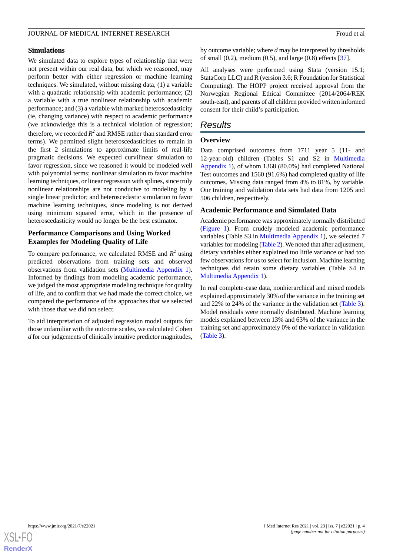#### **Simulations**

We simulated data to explore types of relationship that were not present within our real data, but which we reasoned, may perform better with either regression or machine learning techniques. We simulated, without missing data, (1) a variable with a quadratic relationship with academic performance; (2) a variable with a true nonlinear relationship with academic performance; and (3) a variable with marked heteroscedasticity (ie*,* changing variance) with respect to academic performance (we acknowledge this is a technical violation of regression; therefore, we recorded  $R^2$  and RMSE rather than standard error terms). We permitted slight heteroscedasticities to remain in the first 2 simulations to approximate limits of real-life pragmatic decisions. We expected curvilinear simulation to favor regression, since we reasoned it would be modeled well with polynomial terms; nonlinear simulation to favor machine learning techniques, or linear regression with splines, since truly nonlinear relationships are not conducive to modeling by a single linear predictor; and heteroscedastic simulation to favor machine learning techniques, since modeling is not derived using minimum squared error, which in the presence of heteroscedasticity would no longer be the best estimator.

#### **Performance Comparisons and Using Worked Examples for Modeling Quality of Life**

To compare performance, we calculated RMSE and  $R^2$  using predicted observations from training sets and observed observations from validation sets ([Multimedia Appendix 1\)](#page-12-14). Informed by findings from modeling academic performance, we judged the most appropriate modeling technique for quality of life, and to confirm that we had made the correct choice, we compared the performance of the approaches that we selected with those that we did not select.

To aid interpretation of adjusted regression model outputs for those unfamiliar with the outcome scales, we calculated Cohen *d* for our judgements of clinically intuitive predictor magnitudes,

by outcome variable; where *d* may be interpreted by thresholds of small (0.2), medium (0.5), and large (0.8) effects [\[37](#page-13-18)].

All analyses were performed using Stata (version 15.1; StataCorp LLC) and R (version 3.6; R Foundation for Statistical Computing). The HOPP project received approval from the Norwegian Regional Ethical Committee (2014/2064/REK south-east), and parents of all children provided written informed consent for their child's participation.

## *Results*

#### **Overview**

Data comprised outcomes from 1711 year 5 (11- and 12-year-old) children (Tables S1 and S2 in [Multimedia](#page-12-14) [Appendix 1\)](#page-12-14), of whom 1368 (80.0%) had completed National Test outcomes and 1560 (91.6%) had completed quality of life outcomes. Missing data ranged from 4% to 81%, by variable. Our training and validation data sets had data from 1205 and 506 children, respectively.

#### **Academic Performance and Simulated Data**

Academic performance was approximately normally distributed ([Figure 1\)](#page-4-0). From crudely modeled academic performance variables (Table S3 in [Multimedia Appendix 1](#page-12-14)), we selected 7 variables for modeling [\(Table 2\)](#page-4-1). We noted that after adjustment, dietary variables either explained too little variance or had too few observations for us to select for inclusion. Machine learning techniques did retain some dietary variables (Table S4 in [Multimedia Appendix 1\)](#page-12-14).

In real complete-case data, nonhierarchical and mixed models explained approximately 30% of the variance in the training set and 22% to 24% of the variance in the validation set ([Table 3\)](#page-5-0). Model residuals were normally distributed. Machine learning models explained between 13% and 63% of the variance in the training set and approximately 0% of the variance in validation ([Table 3](#page-5-0)).

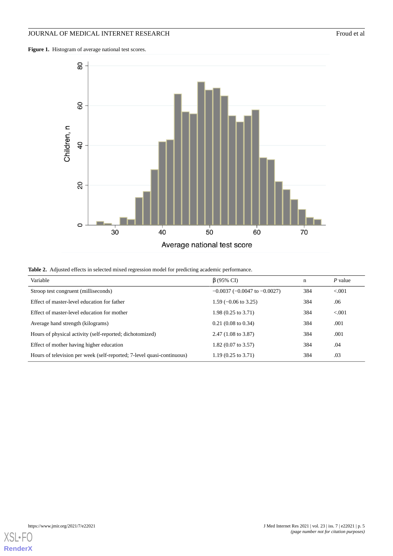## JOURNAL OF MEDICAL INTERNET RESEARCH Froud et al

<span id="page-4-0"></span>Figure 1. Histogram of average national test scores.



<span id="page-4-1"></span>

| <b>Table 2.</b> Adjusted effects in selected mixed regression model for predicting academic performance. |  |  |  |  |
|----------------------------------------------------------------------------------------------------------|--|--|--|--|
|----------------------------------------------------------------------------------------------------------|--|--|--|--|

| Variable                                                               | $\beta$ (95% CI)                     | n   | $P$ value |
|------------------------------------------------------------------------|--------------------------------------|-----|-----------|
| Stroop test congruent (milliseconds)                                   | $-0.0037$ ( $-0.0047$ to $-0.0027$ ) | 384 | < 0.01    |
| Effect of master-level education for father                            | $1.59$ (-0.06 to 3.25)               | 384 | .06       |
| Effect of master-level education for mother                            | $1.98(0.25 \text{ to } 3.71)$        | 384 | < 0.001   |
| Average hand strength (kilograms)                                      | $0.21(0.08 \text{ to } 0.34)$        | 384 | .001      |
| Hours of physical activity (self-reported; dichotomized)               | $2.47(1.08 \text{ to } 3.87)$        | 384 | .001      |
| Effect of mother having higher education                               | $1.82$ (0.07 to 3.57)                | 384 | .04       |
| Hours of television per week (self-reported; 7-level quasi-continuous) | $1.19(0.25 \text{ to } 3.71)$        | 384 | .03       |

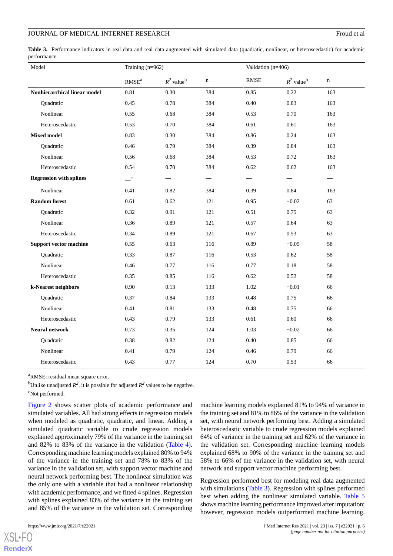<span id="page-5-0"></span>Table 3. Performance indicators in real data and real data augmented with simulated data (quadratic, nonlinear, or heteroscedastic) for academic performance.

| Model                          | Training (n=962)           |                          |             | Validation (n=406)           |                          |             |
|--------------------------------|----------------------------|--------------------------|-------------|------------------------------|--------------------------|-------------|
|                                | $\mathbf{RMSE}^{\text{a}}$ | $R^2$ value <sup>b</sup> | $\mathbf n$ | $\ensuremath{\mathsf{RMSE}}$ | $R^2$ value <sup>b</sup> | $\mathbf n$ |
| Nonhierarchical linear model   | 0.81                       | 0.30                     | 384         | 0.85                         | 0.22                     | 163         |
| Quadratic                      | 0.45                       | 0.78                     | 384         | 0.40                         | 0.83                     | 163         |
| Nonlinear                      | 0.55                       | 0.68                     | 384         | 0.53                         | 0.70                     | 163         |
| Heteroscedastic                | 0.53                       | 0.70                     | 384         | 0.61                         | 0.61                     | 163         |
| <b>Mixed model</b>             | 0.83                       | 0.30                     | 384         | 0.86                         | 0.24                     | 163         |
| <b>Ouadratic</b>               | 0.46                       | 0.79                     | 384         | 0.39                         | 0.84                     | 163         |
| Nonlinear                      | 0.56                       | 0.68                     | 384         | 0.53                         | 0.72                     | 163         |
| Heteroscedastic                | 0.54                       | 0.70                     | 384         | 0.62                         | 0.62                     | 163         |
| <b>Regression with splines</b> | $\mathbf{C}$               |                          |             |                              |                          |             |
| Nonlinear                      | 0.41                       | 0.82                     | 384         | 0.39                         | 0.84                     | 163         |
| <b>Random</b> forest           | 0.61                       | 0.62                     | 121         | 0.95                         | $-0.02$                  | 63          |
| Quadratic                      | 0.32                       | 0.91                     | 121         | 0.51                         | 0.75                     | 63          |
| Nonlinear                      | 0.36                       | 0.89                     | 121         | 0.57                         | 0.64                     | 63          |
| Heteroscedastic                | 0.34                       | 0.89                     | 121         | 0.67                         | 0.53                     | 63          |
| <b>Support vector machine</b>  | 0.55                       | 0.63                     | 116         | 0.89                         | $-0.05$                  | 58          |
| Quadratic                      | 0.33                       | 0.87                     | 116         | 0.53                         | 0.62                     | 58          |
| Nonlinear                      | 0.46                       | 0.77                     | 116         | 0.77                         | 0.18                     | 58          |
| Heteroscedastic                | 0.35                       | 0.85                     | 116         | 0.62                         | 0.52                     | 58          |
| k-Nearest neighbors            | 0.90                       | 0.13                     | 133         | 1.02                         | $-0.01$                  | 66          |
| Quadratic                      | 0.37                       | 0.84                     | 133         | 0.48                         | 0.75                     | 66          |
| Nonlinear                      | 0.41                       | 0.81                     | 133         | 0.48                         | 0.75                     | 66          |
| Heteroscedastic                | 0.43                       | 0.79                     | 133         | 0.61                         | 0.60                     | 66          |
| <b>Neural network</b>          | 0.73                       | 0.35                     | 124         | 1.03                         | $-0.02$                  | 66          |
| Quadratic                      | 0.38                       | 0.82                     | 124         | 0.40                         | 0.85                     | 66          |
| Nonlinear                      | 0.41                       | 0.79                     | 124         | 0.46                         | 0.79                     | 66          |
| Heteroscedastic                | 0.43                       | 0.77                     | 124         | 0.70                         | 0.53                     | 66          |

<sup>a</sup>RMSE: residual mean square error.

<sup>b</sup>Unlike unadjusted  $R^2$ , it is possible for adjusted  $R^2$  values to be negative.

<sup>c</sup>Not performed.

[Figure 2](#page-6-0) shows scatter plots of academic performance and simulated variables. All had strong effects in regression models when modeled as quadratic, quadratic, and linear. Adding a simulated quadratic variable to crude regression models explained approximately 79% of the variance in the training set and 82% to 83% of the variance in the validation [\(Table 4\)](#page-7-0). Corresponding machine learning models explained 80% to 94% of the variance in the training set and 78% to 83% of the variance in the validation set, with support vector machine and neural network performing best. The nonlinear simulation was the only one with a variable that had a nonlinear relationship with academic performance, and we fitted 4 splines. Regression with splines explained 83% of the variance in the training set and 85% of the variance in the validation set. Corresponding

machine learning models explained 81% to 94% of variance in the training set and 81% to 86% of the variance in the validation set, with neural network performing best. Adding a simulated heteroscedastic variable to crude regression models explained 64% of variance in the training set and 62% of the variance in the validation set. Corresponding machine learning models explained 68% to 90% of the variance in the training set and 58% to 66% of the variance in the validation set, with neural network and support vector machine performing best.

Regression performed best for modeling real data augmented with simulations ([Table 3](#page-5-0)). Regression with splines performed best when adding the nonlinear simulated variable. [Table 5](#page-7-1) shows machine learning performance improved after imputation; however, regression models outperformed machine learning.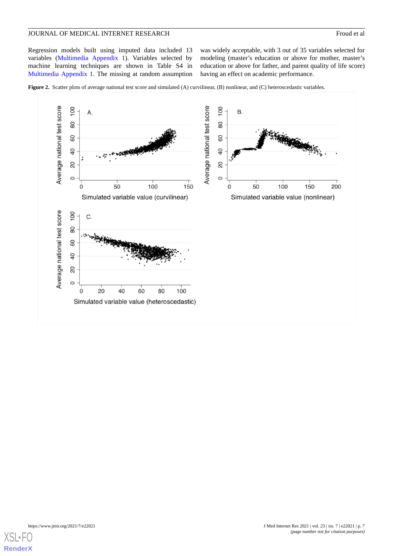Regression models built using imputed data included 13 variables [\(Multimedia Appendix 1\)](#page-12-14). Variables selected by machine learning techniques are shown in Table S4 in [Multimedia Appendix 1.](#page-12-14) The missing at random assumption

was widely acceptable, with 3 out of 35 variables selected for modeling (master's education or above for mother, master's education or above for father, and parent quality of life score) having an effect on academic performance.

<span id="page-6-0"></span>



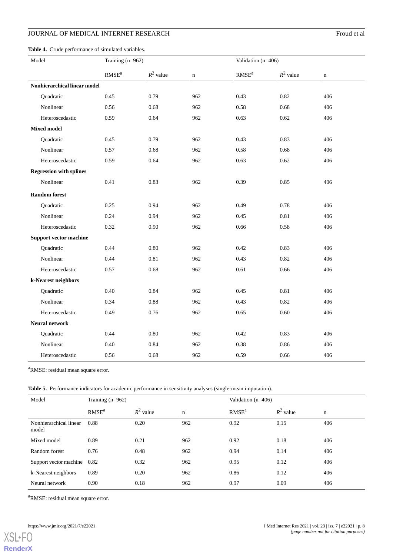## **JOURNAL OF MEDICAL INTERNET RESEARCH** Froud et al

<span id="page-7-0"></span>

| Model                          | Training (n=962)  |             |             | Validation (n=406)       |             |             |  |  |
|--------------------------------|-------------------|-------------|-------------|--------------------------|-------------|-------------|--|--|
|                                | RMSE <sup>a</sup> | $R^2$ value | $\mathbf n$ | $\text{RMSE}^{\text{a}}$ | $R^2$ value | $\mathbf n$ |  |  |
| Nonhierarchical linear model   |                   |             |             |                          |             |             |  |  |
| Quadratic                      | 0.45              | 0.79        | 962         | 0.43                     | 0.82        | 406         |  |  |
| Nonlinear                      | 0.56              | 0.68        | 962         | 0.58                     | 0.68        | 406         |  |  |
| Heteroscedastic                | 0.59              | 0.64        | 962         | 0.63                     | 0.62        | 406         |  |  |
| <b>Mixed model</b>             |                   |             |             |                          |             |             |  |  |
| Quadratic                      | 0.45              | 0.79        | 962         | 0.43                     | 0.83        | 406         |  |  |
| Nonlinear                      | 0.57              | 0.68        | 962         | 0.58                     | 0.68        | 406         |  |  |
| Heteroscedastic                | 0.59              | 0.64        | 962         | 0.63                     | 0.62        | 406         |  |  |
| <b>Regression with splines</b> |                   |             |             |                          |             |             |  |  |
| Nonlinear                      | 0.41              | 0.83        | 962         | 0.39                     | 0.85        | 406         |  |  |
| <b>Random</b> forest           |                   |             |             |                          |             |             |  |  |
| Quadratic                      | 0.25              | 0.94        | 962         | 0.49                     | 0.78        | 406         |  |  |
| Nonlinear                      | 0.24              | 0.94        | 962         | 0.45                     | 0.81        | 406         |  |  |
| Heteroscedastic                | 0.32              | 0.90        | 962         | 0.66                     | 0.58        | 406         |  |  |
| <b>Support vector machine</b>  |                   |             |             |                          |             |             |  |  |
| Quadratic                      | 0.44              | 0.80        | 962         | 0.42                     | 0.83        | 406         |  |  |
| Nonlinear                      | 0.44              | 0.81        | 962         | 0.43                     | 0.82        | 406         |  |  |
| Heteroscedastic                | 0.57              | 0.68        | 962         | 0.61                     | 0.66        | 406         |  |  |
| k-Nearest neighbors            |                   |             |             |                          |             |             |  |  |
| Quadratic                      | 0.40              | 0.84        | 962         | 0.45                     | 0.81        | 406         |  |  |
| Nonlinear                      | 0.34              | 0.88        | 962         | 0.43                     | 0.82        | 406         |  |  |
| Heteroscedastic                | 0.49              | 0.76        | 962         | 0.65                     | 0.60        | 406         |  |  |
| <b>Neural network</b>          |                   |             |             |                          |             |             |  |  |
| Quadratic                      | 0.44              | 0.80        | 962         | 0.42                     | 0.83        | 406         |  |  |
| Nonlinear                      | 0.40              | 0.84        | 962         | 0.38                     | 0.86        | 406         |  |  |
| Heteroscedastic                | 0.56              | 0.68        | 962         | 0.59                     | 0.66        | 406         |  |  |

<span id="page-7-1"></span><sup>a</sup>RMSE: residual mean square error.

**Table 5.** Performance indicators for academic performance in sensitivity analyses (single-mean imputation).

| Model                           | Training $(n=962)$ |             |             | Validation $(n=406)$ |             |     |  |
|---------------------------------|--------------------|-------------|-------------|----------------------|-------------|-----|--|
|                                 | RMSE <sup>a</sup>  | $R^2$ value | $\mathbf n$ | RMSE <sup>a</sup>    | $R^2$ value | n   |  |
| Nonhierarchical linear<br>model | 0.88               | 0.20        | 962         | 0.92                 | 0.15        | 406 |  |
| Mixed model                     | 0.89               | 0.21        | 962         | 0.92                 | 0.18        | 406 |  |
| Random forest                   | 0.76               | 0.48        | 962         | 0.94                 | 0.14        | 406 |  |
| Support vector machine          | 0.82               | 0.32        | 962         | 0.95                 | 0.12        | 406 |  |
| k-Nearest neighbors             | 0.89               | 0.20        | 962         | 0.86                 | 0.12        | 406 |  |
| Neural network                  | 0.90               | 0.18        | 962         | 0.97                 | 0.09        | 406 |  |

<sup>a</sup>RMSE: residual mean square error.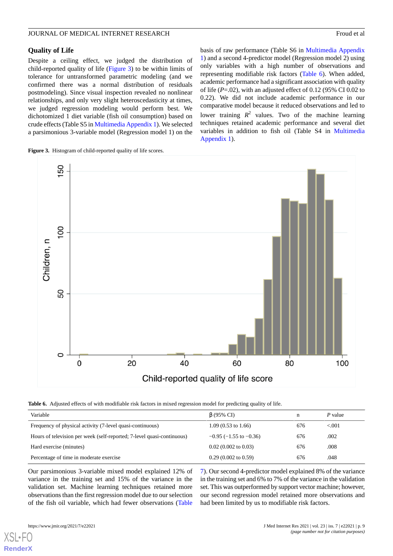#### **Quality of Life**

Despite a ceiling effect, we judged the distribution of child-reported quality of life [\(Figure 3\)](#page-8-0) to be within limits of tolerance for untransformed parametric modeling (and we confirmed there was a normal distribution of residuals postmodeling). Since visual inspection revealed no nonlinear relationships, and only very slight heteroscedasticity at times, we judged regression modeling would perform best. We dichotomized 1 diet variable (fish oil consumption) based on crude effects (Table S5 in [Multimedia Appendix 1](#page-12-14)). We selected a parsimonious 3-variable model (Regression model 1) on the

<span id="page-8-0"></span>**Figure 3.** Histogram of child-reported quality of life scores.

basis of raw performance (Table S6 in [Multimedia Appendix](#page-12-14) [1\)](#page-12-14) and a second 4-predictor model (Regression model 2) using only variables with a high number of observations and representing modifiable risk factors ([Table 6\)](#page-8-1). When added, academic performance had a significant association with quality of life (*P*=.02), with an adjusted effect of 0.12 (95% CI 0.02 to 0.22). We did not include academic performance in our comparative model because it reduced observations and led to lower training  $R^2$  values. Two of the machine learning techniques retained academic performance and several diet variables in addition to fish oil (Table S4 in [Multimedia](#page-12-14) [Appendix 1\)](#page-12-14).



<span id="page-8-1"></span>**Table 6.** Adjusted effects of with modifiable risk factors in mixed regression model for predicting quality of life.

| Variable                                                               | $\beta$ (95% CI)               | n   | P value   |
|------------------------------------------------------------------------|--------------------------------|-----|-----------|
| Frequency of physical activity (7-level quasi-continuous)              | $1.09(0.53 \text{ to } 1.66)$  | 676 | ${<}.001$ |
| Hours of television per week (self-reported; 7-level quasi-continuous) | $-0.95$ ( $-1.55$ to $-0.36$ ) | 676 | .002      |
| Hard exercise (minutes)                                                | $0.02$ (0.002 to 0.03)         | 676 | .008      |
| Percentage of time in moderate exercise                                | $0.29(0.002 \text{ to } 0.59)$ | 676 | .048      |

Our parsimonious 3-variable mixed model explained 12% of variance in the training set and 15% of the variance in the validation set. Machine learning techniques retained more observations than the first regression model due to our selection of the fish oil variable, which had fewer observations ([Table](#page-9-0)

[XSL](http://www.w3.org/Style/XSL)•FO **[RenderX](http://www.renderx.com/)**

in the training set and 6% to 7% of the variance in the validation set. This was outperformed by support vector machine; however, our second regression model retained more observations and had been limited by us to modifiable risk factors.

[7\)](#page-9-0). Our second 4-predictor model explained 8% of the variance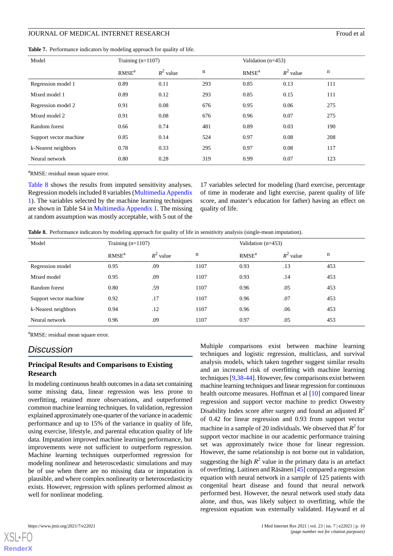#### JOURNAL OF MEDICAL INTERNET RESEARCH FROUGHAL THE SEARCH FROM THE SEARCH FROM THE SEARCH FROM THE SEARCH FOUND HE SEARCH FOUND HE SEARCH FOUND HE SEARCH FOUND HE SEARCH FOUND HE SEARCH FOUND HE SEARCH FOUND HE SEARCH THE S

<span id="page-9-0"></span>**Table 7.** Performance indicators by modeling approach for quality of life.

| Model                  | Training $(n=1107)$ |             |             | Validation $(n=453)$ |             |     |
|------------------------|---------------------|-------------|-------------|----------------------|-------------|-----|
|                        | RMSE <sup>a</sup>   | $R^2$ value | $\mathbf n$ | RMSE <sup>a</sup>    | $R^2$ value | n   |
| Regression model 1     | 0.89                | 0.11        | 293         | 0.85                 | 0.13        | 111 |
| Mixed model 1          | 0.89                | 0.12        | 293         | 0.85                 | 0.15        | 111 |
| Regression model 2     | 0.91                | 0.08        | 676         | 0.95                 | 0.06        | 275 |
| Mixed model 2          | 0.91                | 0.08        | 676         | 0.96                 | 0.07        | 275 |
| Random forest          | 0.66                | 0.74        | 481         | 0.89                 | 0.03        | 190 |
| Support vector machine | 0.85                | 0.14        | 524         | 0.97                 | 0.08        | 208 |
| k-Nearest neighbors    | 0.78                | 0.33        | 295         | 0.97                 | 0.08        | 117 |
| Neural network         | 0.80                | 0.28        | 319         | 0.99                 | 0.07        | 123 |

<sup>a</sup>RMSE: residual mean square error.

[Table 8](#page-9-1) shows the results from imputed sensitivity analyses. Regression models included 8 variables ([Multimedia Appendix](#page-12-14) [1\)](#page-12-14). The variables selected by the machine learning techniques are shown in Table S4 in [Multimedia Appendix 1.](#page-12-14) The missing at random assumption was mostly acceptable, with 5 out of the

17 variables selected for modeling (hard exercise, percentage of time in moderate and light exercise, parent quality of life score, and master's education for father) having an effect on quality of life.

<span id="page-9-1"></span>**Table 8.** Performance indicators by modeling approach for quality of life in sensitivity analysis (single-mean imputation).

| Model                  | Training $(n=1107)$ |             |      | Validation $(n=453)$ |             |     |
|------------------------|---------------------|-------------|------|----------------------|-------------|-----|
|                        | RMSE <sup>a</sup>   | $R^2$ value | n    | RMSE <sup>a</sup>    | $R^2$ value | n   |
| Regression model       | 0.95                | .09         | 1107 | 0.93                 | .13         | 453 |
| Mixed model            | 0.95                | .09         | 1107 | 0.93                 | .14         | 453 |
| Random forest          | 0.80                | .59         | 1107 | 0.96                 | .05         | 453 |
| Support vector machine | 0.92                | .17         | 1107 | 0.96                 | .07         | 453 |
| k-Nearest neighbors    | 0.94                | .12         | 1107 | 0.96                 | .06         | 453 |
| Neural network         | 0.96                | .09         | 1107 | 0.97                 | .05         | 453 |

<sup>a</sup>RMSE: residual mean square error.

## *Discussion*

#### **Principal Results and Comparisons to Existing Research**

In modeling continuous health outcomes in a data set containing some missing data, linear regression was less prone to overfitting, retained more observations, and outperformed common machine learning techniques. In validation, regression explained approximately one-quarter of the variance in academic performance and up to 15% of the variance in quality of life, using exercise, lifestyle, and parental education quality of life data. Imputation improved machine learning performance, but improvements were not sufficient to outperform regression. Machine learning techniques outperformed regression for modeling nonlinear and heteroscedastic simulations and may be of use when there are no missing data or imputation is plausible, and where complex nonlinearity or heteroscedasticity exists. However, regression with splines performed almost as well for nonlinear modeling.

Multiple comparisons exist between machine learning techniques and logistic regression, multiclass, and survival analysis models, which taken together suggest similar results and an increased risk of overfitting with machine learning techniques [[9,](#page-12-7)[38](#page-13-19)[-44](#page-14-0)]. However, few comparisons exist between machine learning techniques and linear regression for continuous health outcome measures. Hoffman et al [[10\]](#page-12-8) compared linear regression and support vector machine to predict Oswestry Disability Index score after surgery and found an adjusted *R 2* of 0.42 for linear regression and 0.93 from support vector machine in a sample of 20 individuals. We observed that  $R^2$  for support vector machine in our academic performance training set was approximately twice those for linear regression. However, the same relationship is not borne out in validation, suggesting the high  $R^2$  value in the primary data is an artefact of overfitting. Laitinen and Räsänen [[45\]](#page-14-1) compared a regression equation with neural network in a sample of 125 patients with congenital heart disease and found that neural network performed best. However, the neural network used study data alone, and thus, was likely subject to overfitting, while the regression equation was externally validated. Hayward et al

**[RenderX](http://www.renderx.com/)**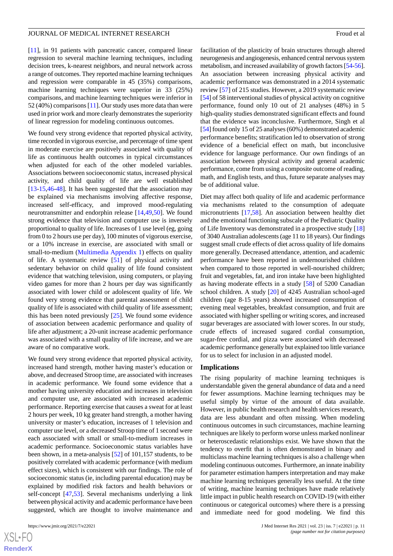[[11\]](#page-12-9), in 91 patients with pancreatic cancer, compared linear regression to several machine learning techniques, including decision trees, k-nearest neighbors, and neural network across a range of outcomes. They reported machine learning techniques and regression were comparable in 45 (35%) comparisons, machine learning techniques were superior in 33 (25%) comparisons, and machine learning techniques were inferior in 52 (40%) comparisons [\[11\]](#page-12-9). Our study uses more data than were used in prior work and more clearly demonstrates the superiority of linear regression for modeling continuous outcomes.

We found very strong evidence that reported physical activity, time recorded in vigorous exercise, and percentage of time spent in moderate exercise are positively associated with quality of life as continuous health outcomes in typical circumstances when adjusted for each of the other modeled variables. Associations between socioeconomic status, increased physical activity, and child quality of life are well established [[13](#page-12-11)[-15](#page-12-15),[46-](#page-14-2)[48](#page-14-3)]. It has been suggested that the association may be explained via mechanisms involving affective response, increased self-efficacy, and improved mood-regulating neurotransmitter and endorphin release [[14](#page-12-16)[,49](#page-14-4),[50\]](#page-14-5). We found strong evidence that television and computer use is inversely proportional to quality of life. Increases of 1 use level (eg, going from 0 to 2 hours use per day), 100 minutes of vigorous exercise, or a 10% increase in exercise, are associated with small or small-to-medium ([Multimedia Appendix 1\)](#page-12-14) effects on quality of life. A systematic review [[51\]](#page-14-6) of physical activity and sedentary behavior on child quality of life found consistent evidence that watching television, using computers, or playing video games for more than 2 hours per day was significantly associated with lower child or adolescent quality of life. We found very strong evidence that parental assessment of child quality of life is associated with child quality of life assessment; this has been noted previously [\[25](#page-13-6)]. We found some evidence of association between academic performance and quality of life after adjustment; a 20-unit increase academic performance was associated with a small quality of life increase, and we are aware of no comparative work.

We found very strong evidence that reported physical activity, increased hand strength, mother having master's education or above, and decreased Stroop time, are associated with increases in academic performance. We found some evidence that a mother having university education and increases in television and computer use, are associated with increased academic performance. Reporting exercise that causes a sweat for at least 2 hours per week, 10 kg greater hand strength, a mother having university or master's education, increases of 1 television and computer use level, or a decreased Stroop time of 1 second were each associated with small or small-to-medium increases in academic performance. Socioeconomic status variables have been shown, in a meta-analysis [[52\]](#page-14-7) of 101,157 students, to be positively correlated with academic performance (with medium effect sizes), which is consistent with our findings. The role of socioeconomic status (ie, including parental education) may be explained by modified risk factors and health behaviors or self-concept [\[47](#page-14-8),[53\]](#page-14-9). Several mechanisms underlying a link between physical activity and academic performance have been suggested, which are thought to involve maintenance and

facilitation of the plasticity of brain structures through altered neurogenesis and angiogenesis, enhanced central nervous system metabolism, and increased availability of growth factors [\[54](#page-14-10)[-56](#page-14-11)]. An association between increasing physical activity and academic performance was demonstrated in a 2014 systematic review [[57\]](#page-14-12) of 215 studies. However, a 2019 systematic review [[54\]](#page-14-10) of 58 interventional studies of physical activity on cognitive performance, found only 10 out of 21 analyses (48%) in 5 high-quality studies demonstrated significant effects and found that the evidence was inconclusive. Furthermore, Singh et al [[54\]](#page-14-10) found only 15 of 25 analyses (60%) demonstrated academic performance benefits; stratification led to observation of strong evidence of a beneficial effect on math, but inconclusive evidence for language performance. Our own findings of an association between physical activity and general academic performance, come from using a composite outcome of reading, math, and English tests, and thus, future separate analyses may be of additional value.

Diet may affect both quality of life and academic performance via mechanisms related to the consumption of adequate micronutrients [\[17](#page-12-13),[58\]](#page-14-13). An association between healthy diet and the emotional functioning subscale of the Pediatric Quality of Life Inventory was demonstrated in a prospective study [\[18](#page-13-0)] of 3040 Australian adolescents (age 11 to 18 years). Our findings suggest small crude effects of diet across quality of life domains more generally. Decreased attendance, attention, and academic performance have been reported in undernourished children when compared to those reported in well-nourished children; fruit and vegetables, fat, and iron intake have been highlighted as having moderate effects in a study [\[58](#page-14-13)] of 5200 Canadian school children. A study [\[20](#page-13-2)] of 4245 Australian school-aged children (age 8-15 years) showed increased consumption of evening meal vegetables, breakfast consumption, and fruit are associated with higher spelling or writing scores, and increased sugar beverages are associated with lower scores. In our study, crude effects of increased sugared cordial consumption, sugar-free cordial, and pizza were associated with decreased academic performance generally but explained too little variance for us to select for inclusion in an adjusted model.

#### **Implications**

The rising popularity of machine learning techniques is understandable given the general abundance of data and a need for fewer assumptions. Machine learning techniques may be useful simply by virtue of the amount of data available. However, in public health research and health services research, data are less abundant and often missing. When modeling continuous outcomes in such circumstances, machine learning techniques are likely to perform worse unless marked nonlinear or heteroscedastic relationships exist. We have shown that the tendency to overfit that is often demonstrated in binary and multiclass machine learning techniques is also a challenge when modeling continuous outcomes. Furthermore, an innate inability for parameter estimation hampers interpretation and may make machine learning techniques generally less useful. At the time of writing, machine learning techniques have made relatively little impact in public health research on COVID-19 (with either continuous or categorical outcomes) where there is a pressing and immediate need for good modeling. We find this

 $XS$ -FO **[RenderX](http://www.renderx.com/)**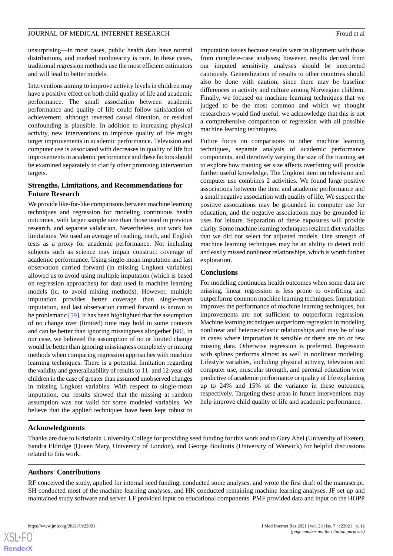unsurprising—in most cases, public health data have normal distributions, and marked nonlinearity is rare. In these cases, traditional regression methods use the most efficient estimators and will lead to better models.

Interventions aiming to improve activity levels in children may have a positive effect on both child quality of life and academic performance. The small association between academic performance and quality of life could follow satisfaction of achievement, although reversed causal direction, or residual confounding is plausible. In addition to increasing physical activity, new interventions to improve quality of life might target improvements in academic performance. Television and computer use is associated with decreases in quality of life but improvements in academic performance and these factors should be examined separately to clarify other promising intervention targets.

## **Strengths, Limitations, and Recommendations for Future Research**

We provide like-for-like comparisons between machine learning techniques and regression for modeling continuous health outcomes, with larger sample size than those used in previous research, and separate validation. Nevertheless, our work has limitations. We used an average of reading, math, and English tests as a proxy for academic performance. Not including subjects such as science may impair construct coverage of academic performance. Using single-mean imputation and last observation carried forward (in missing Ungkost variables) allowed us to avoid using multiple imputation (which is based on regression approaches) for data used in machine learning models (ie, to avoid mixing methods). However, multiple imputation provides better coverage than single-mean imputation, and last observation carried forward is known to be problematic [[59](#page-14-14)]. It has been highlighted that the assumption of no change over (limited) time may hold in some contexts and can be better than ignoring missingness altogether [\[60](#page-14-15)]. In our case, we believed the assumption of no or limited change would be better than ignoring missingness completely or mixing methods when comparing regression approaches with machine learning techniques. There is a potential limitation regarding the validity and generalizability of results to 11- and 12-year-old children in the case of greater than assumed unobserved changes in missing Ungkost variables. With respect to single-mean imputation, our results showed that the missing at random assumption was not valid for some modeled variables. We believe that the applied techniques have been kept robust to

imputation issues because results were in alignment with those from complete-case analyses; however, results derived from our imputed sensitivity analyses should be interpreted cautiously. Generalization of results to other countries should also be done with caution, since there may be baseline differences in activity and culture among Norwegian children. Finally, we focused on machine learning techniques that we judged to be the most common and which we thought researchers would find useful; we acknowledge that this is not a comprehensive comparison of regression with all possible machine learning techniques.

Future focus on comparisons to other machine learning techniques, separate analysis of academic performance components, and iteratively varying the size of the training set to explore how training set size affects overfitting will provide further useful knowledge. The Ungkost item on television and computer use combines 2 activities. We found large positive associations between the item and academic performance and a small negative association with quality of life. We suspect the positive associations may be grounded in computer use for education, and the negative associations may be grounded in uses for leisure. Separation of these exposures will provide clarity. Some machine learning techniques retained diet variables that we did not select for adjusted models. One strength of machine learning techniques may be an ability to detect mild and easily missed nonlinear relationships, which is worth further exploration.

#### **Conclusions**

For modeling continuous health outcomes when some data are missing, linear regression is less prone to overfitting and outperforms common machine learning techniques. Imputation improves the performance of machine learning techniques, but improvements are not sufficient to outperform regression. Machine learning techniques outperform regression in modeling nonlinear and heteroscedastic relationships and may be of use in cases where imputation is sensible or there are no or few missing data. Otherwise regression is preferred. Regression with splines performs almost as well in nonlinear modeling. Lifestyle variables, including physical activity, television and computer use, muscular strength, and parental education were predictive of academic performance or quality of life explaining up to 24% and 15% of the variance in these outcomes, respectively. Targeting these areas in future interventions may help improve child quality of life and academic performance.

#### **Acknowledgments**

Thanks are due to Kristiania University College for providing seed funding for this work and to Gary Abel (University of Exeter), Sandra Eldridge (Queen Mary, University of London), and George Bouliotis (University of Warwick) for helpful discussions related to this work.

#### **Authors' Contributions**

RF conceived the study, applied for internal seed funding, conducted some analyses, and wrote the first draft of the manuscript. SH conducted most of the machine learning analyses, and HK conducted remaining machine learning analyses. JF set up and maintained study software and server. LF provided input on educational components. PMF provided data and input on the HOPP

 $XS$ -FO **[RenderX](http://www.renderx.com/)**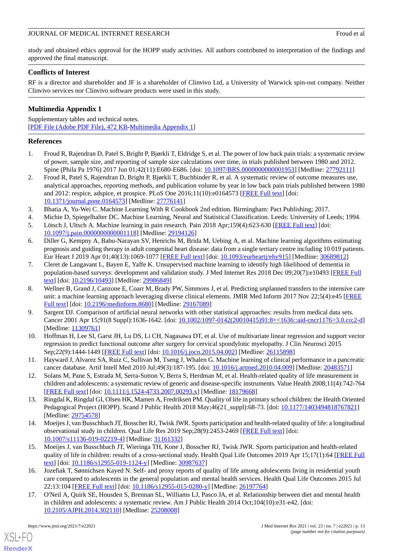study and obtained ethics approval for the HOPP study activities. All authors contributed to interpretation of the findings and approved the final manuscript.

## **Conflicts of Interest**

RF is a director and shareholder and JF is a shareholder of Clinvivo Ltd, a University of Warwick spin-out company. Neither Clinvivo services nor Clinvivo software products were used in this study.

## <span id="page-12-14"></span>**Multimedia Appendix 1**

Supplementary tables and technical notes. [[PDF File \(Adobe PDF File\), 472 KB](https://jmir.org/api/download?alt_name=jmir_v23i7e22021_app1.pdf&filename=314631e3c3c3ae8e065178520e1d1ad0.pdf)-[Multimedia Appendix 1\]](https://jmir.org/api/download?alt_name=jmir_v23i7e22021_app1.pdf&filename=314631e3c3c3ae8e065178520e1d1ad0.pdf)

## <span id="page-12-0"></span>**References**

- <span id="page-12-1"></span>1. Froud R, Rajendran D, Patel S, Bright P, Bjørkli T, Eldridge S, et al. The power of low back pain trials: a systematic review of power, sample size, and reporting of sample size calculations over time, in trials published between 1980 and 2012. Spine (Phila Pa 1976) 2017 Jun 01;42(11):E680-E686. [doi: [10.1097/BRS.0000000000001953](http://dx.doi.org/10.1097/BRS.0000000000001953)] [Medline: [27792111\]](http://www.ncbi.nlm.nih.gov/entrez/query.fcgi?cmd=Retrieve&db=PubMed&list_uids=27792111&dopt=Abstract)
- <span id="page-12-2"></span>2. Froud R, Patel S, Rajendran D, Bright P, Bjørkli T, Buchbinder R, et al. A systematic review of outcome measures use, analytical approaches, reporting methods, and publication volume by year in low back pain trials published between 1980 and 2012: respice, adspice, et prospice. PLoS One 2016;11(10):e0164573 [\[FREE Full text\]](http://dx.plos.org/10.1371/journal.pone.0164573) [doi: [10.1371/journal.pone.0164573\]](http://dx.doi.org/10.1371/journal.pone.0164573) [Medline: [27776141](http://www.ncbi.nlm.nih.gov/entrez/query.fcgi?cmd=Retrieve&db=PubMed&list_uids=27776141&dopt=Abstract)]
- <span id="page-12-3"></span>3. Bhatia A, Yu-Wei C. Machine Learning With R Cookbook 2nd edition. Birmingham: Pact Publishing; 2017.
- <span id="page-12-4"></span>4. Michie D, Spiegelhalter DC. Machine Learning, Neural and Statistical Classification. Leeds: University of Leeds; 1994. 5. Lötsch J, Ultsch A. Machine learning in pain research. Pain 2018 Apr;159(4):623-630 [[FREE Full text](http://europepmc.org/abstract/MED/29194126)] [doi:
- [10.1097/j.pain.0000000000001118\]](http://dx.doi.org/10.1097/j.pain.0000000000001118) [Medline: [29194126\]](http://www.ncbi.nlm.nih.gov/entrez/query.fcgi?cmd=Retrieve&db=PubMed&list_uids=29194126&dopt=Abstract)
- <span id="page-12-5"></span>6. Diller G, Kempny A, Babu-Narayan SV, Henrichs M, Brida M, Uebing A, et al. Machine learning algorithms estimating prognosis and guiding therapy in adult congenital heart disease: data from a single tertiary centre including 10 019 patients. Eur Heart J 2019 Apr 01;40(13):1069-1077 [\[FREE Full text\]](http://europepmc.org/abstract/MED/30689812) [doi: [10.1093/eurheartj/ehy915](http://dx.doi.org/10.1093/eurheartj/ehy915)] [Medline: [30689812\]](http://www.ncbi.nlm.nih.gov/entrez/query.fcgi?cmd=Retrieve&db=PubMed&list_uids=30689812&dopt=Abstract)
- <span id="page-12-6"></span>7. Cleret de Langavant L, Bayen E, Yaffe K. Unsupervised machine learning to identify high likelihood of dementia in population-based surveys: development and validation study. J Med Internet Res 2018 Dec 09;20(7):e10493 [\[FREE Full](http://www.jmir.org/2018/7/e10493/) [text](http://www.jmir.org/2018/7/e10493/)] [doi: [10.2196/10493\]](http://dx.doi.org/10.2196/10493) [Medline: [29986849\]](http://www.ncbi.nlm.nih.gov/entrez/query.fcgi?cmd=Retrieve&db=PubMed&list_uids=29986849&dopt=Abstract)
- <span id="page-12-7"></span>8. Wellner B, Grand J, Canzone E, Coarr M, Brady PW, Simmons J, et al. Predicting unplanned transfers to the intensive care unit: a machine learning approach leveraging diverse clinical elements. JMIR Med Inform 2017 Nov 22;5(4):e45 [[FREE](http://medinform.jmir.org/2017/4/e45/) [Full text\]](http://medinform.jmir.org/2017/4/e45/) [doi: [10.2196/medinform.8680](http://dx.doi.org/10.2196/medinform.8680)] [Medline: [29167089](http://www.ncbi.nlm.nih.gov/entrez/query.fcgi?cmd=Retrieve&db=PubMed&list_uids=29167089&dopt=Abstract)]
- <span id="page-12-9"></span><span id="page-12-8"></span>9. Sargent DJ. Comparison of artificial neural networks with other statistical approaches: results from medical data sets. Cancer 2001 Apr 15;91(8 Suppl):1636-1642. [doi: [10.1002/1097-0142\(20010415\)91:8+<1636::aid-cncr1176>3.0.co;2-d](http://dx.doi.org/10.1002/1097-0142(20010415)91:8+<1636::aid-cncr1176>3.0.co;2-d)] [Medline: [11309761](http://www.ncbi.nlm.nih.gov/entrez/query.fcgi?cmd=Retrieve&db=PubMed&list_uids=11309761&dopt=Abstract)]
- <span id="page-12-10"></span>10. Hoffman H, Lee SI, Garst JH, Lu DS, Li CH, Nagasawa DT, et al. Use of multivariate linear regression and support vector regression to predict functional outcome after surgery for cervical spondylotic myelopathy. J Clin Neurosci 2015 Sep;22(9):1444-1449 [[FREE Full text](http://europepmc.org/abstract/MED/26115898)] [doi: [10.1016/j.jocn.2015.04.002\]](http://dx.doi.org/10.1016/j.jocn.2015.04.002) [Medline: [26115898\]](http://www.ncbi.nlm.nih.gov/entrez/query.fcgi?cmd=Retrieve&db=PubMed&list_uids=26115898&dopt=Abstract)
- <span id="page-12-11"></span>11. Hayward J, Alvarez SA, Ruiz C, Sullivan M, Tseng J, Whalen G. Machine learning of clinical performance in a pancreatic cancer database. Artif Intell Med 2010 Jul;49(3):187-195. [doi: [10.1016/j.artmed.2010.04.009\]](http://dx.doi.org/10.1016/j.artmed.2010.04.009) [Medline: [20483571\]](http://www.ncbi.nlm.nih.gov/entrez/query.fcgi?cmd=Retrieve&db=PubMed&list_uids=20483571&dopt=Abstract)
- <span id="page-12-16"></span>12. Solans M, Pane S, Estrada M, Serra-Sutton V, Berra S, Herdman M, et al. Health-related quality of life measurement in children and adolescents: a systematic review of generic and disease-specific instruments. Value Health 2008;11(4):742-764 [[FREE Full text](https://linkinghub.elsevier.com/retrieve/pii/S1098-3015(10)60552-9)] [doi: [10.1111/j.1524-4733.2007.00293.x\]](http://dx.doi.org/10.1111/j.1524-4733.2007.00293.x) [Medline: [18179668\]](http://www.ncbi.nlm.nih.gov/entrez/query.fcgi?cmd=Retrieve&db=PubMed&list_uids=18179668&dopt=Abstract)
- <span id="page-12-15"></span>13. Ringdal K, Ringdal GI, Olsen HK, Mamen A, Fredriksen PM. Quality of life in primary school children: the Health Oriented Pedagogical Project (HOPP). Scand J Public Health 2018 May;46(21\_suppl):68-73. [doi: [10.1177/1403494818767821](http://dx.doi.org/10.1177/1403494818767821)] [Medline: [29754578](http://www.ncbi.nlm.nih.gov/entrez/query.fcgi?cmd=Retrieve&db=PubMed&list_uids=29754578&dopt=Abstract)]
- <span id="page-12-12"></span>14. Moeijes J, van Busschbach JT, Bosscher RJ, Twisk JWR. Sports participation and health-related quality of life: a longitudinal observational study in children. Qual Life Res 2019 Sep;28(9):2453-2469 [\[FREE Full text\]](http://europepmc.org/abstract/MED/31161332) [doi: [10.1007/s11136-019-02219-4\]](http://dx.doi.org/10.1007/s11136-019-02219-4) [Medline: [31161332\]](http://www.ncbi.nlm.nih.gov/entrez/query.fcgi?cmd=Retrieve&db=PubMed&list_uids=31161332&dopt=Abstract)
- <span id="page-12-13"></span>15. Moeijes J, van Busschbach JT, Wieringa TH, Kone J, Bosscher RJ, Twisk JWR. Sports participation and health-related quality of life in children: results of a cross-sectional study. Health Qual Life Outcomes 2019 Apr 15;17(1):64 [[FREE Full](https://hqlo.biomedcentral.com/articles/10.1186/s12955-019-1124-y) [text](https://hqlo.biomedcentral.com/articles/10.1186/s12955-019-1124-y)] [doi: [10.1186/s12955-019-1124-y\]](http://dx.doi.org/10.1186/s12955-019-1124-y) [Medline: [30987637](http://www.ncbi.nlm.nih.gov/entrez/query.fcgi?cmd=Retrieve&db=PubMed&list_uids=30987637&dopt=Abstract)]
- 16. Jozefiak T, Sønnichsen Kayed N. Self- and proxy reports of quality of life among adolescents living in residential youth care compared to adolescents in the general population and mental health services. Health Qual Life Outcomes 2015 Jul 22;13:104 [[FREE Full text](https://hqlo.biomedcentral.com/articles/10.1186/s12955-015-0280-y)] [doi: [10.1186/s12955-015-0280-y\]](http://dx.doi.org/10.1186/s12955-015-0280-y) [Medline: [26197764](http://www.ncbi.nlm.nih.gov/entrez/query.fcgi?cmd=Retrieve&db=PubMed&list_uids=26197764&dopt=Abstract)]
- 17. O'Neil A, Quirk SE, Housden S, Brennan SL, Williams LJ, Pasco JA, et al. Relationship between diet and mental health in children and adolescents: a systematic review. Am J Public Health 2014 Oct;104(10):e31-e42. [doi: [10.2105/AJPH.2014.302110\]](http://dx.doi.org/10.2105/AJPH.2014.302110) [Medline: [25208008](http://www.ncbi.nlm.nih.gov/entrez/query.fcgi?cmd=Retrieve&db=PubMed&list_uids=25208008&dopt=Abstract)]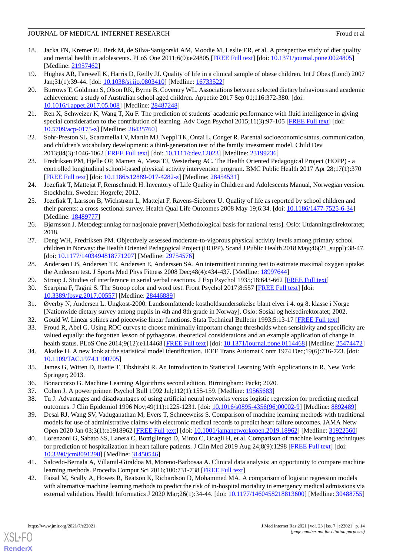- <span id="page-13-0"></span>18. Jacka FN, Kremer PJ, Berk M, de Silva-Sanigorski AM, Moodie M, Leslie ER, et al. A prospective study of diet quality and mental health in adolescents. PLoS One 2011;6(9):e24805 [[FREE Full text](https://dx.plos.org/10.1371/journal.pone.0024805)] [doi: [10.1371/journal.pone.0024805\]](http://dx.doi.org/10.1371/journal.pone.0024805) [Medline: [21957462](http://www.ncbi.nlm.nih.gov/entrez/query.fcgi?cmd=Retrieve&db=PubMed&list_uids=21957462&dopt=Abstract)]
- <span id="page-13-2"></span><span id="page-13-1"></span>19. Hughes AR, Farewell K, Harris D, Reilly JJ. Quality of life in a clinical sample of obese children. Int J Obes (Lond) 2007 Jan;31(1):39-44. [doi: [10.1038/sj.ijo.0803410](http://dx.doi.org/10.1038/sj.ijo.0803410)] [Medline: [16733522](http://www.ncbi.nlm.nih.gov/entrez/query.fcgi?cmd=Retrieve&db=PubMed&list_uids=16733522&dopt=Abstract)]
- 20. Burrows T, Goldman S, Olson RK, Byrne B, Coventry WL. Associations between selected dietary behaviours and academic achievement: a study of Australian school aged children. Appetite 2017 Sep 01;116:372-380. [doi: [10.1016/j.appet.2017.05.008](http://dx.doi.org/10.1016/j.appet.2017.05.008)] [Medline: [28487248](http://www.ncbi.nlm.nih.gov/entrez/query.fcgi?cmd=Retrieve&db=PubMed&list_uids=28487248&dopt=Abstract)]
- <span id="page-13-3"></span>21. Ren X, Schweizer K, Wang T, Xu F. The prediction of students' academic performance with fluid intelligence in giving special consideration to the contribution of learning. Adv Cogn Psychol 2015;11(3):97-105 [\[FREE Full text\]](http://europepmc.org/abstract/MED/26435760) [doi: [10.5709/acp-0175-z\]](http://dx.doi.org/10.5709/acp-0175-z) [Medline: [26435760\]](http://www.ncbi.nlm.nih.gov/entrez/query.fcgi?cmd=Retrieve&db=PubMed&list_uids=26435760&dopt=Abstract)
- <span id="page-13-4"></span>22. Sohr-Preston SL, Scaramella LV, Martin MJ, Neppl TK, Ontai L, Conger R. Parental socioeconomic status, communication, and children's vocabulary development: a third-generation test of the family investment model. Child Dev 2013;84(3):1046-1062 [[FREE Full text](http://europepmc.org/abstract/MED/23199236)] [doi: [10.1111/cdev.12023](http://dx.doi.org/10.1111/cdev.12023)] [Medline: [23199236](http://www.ncbi.nlm.nih.gov/entrez/query.fcgi?cmd=Retrieve&db=PubMed&list_uids=23199236&dopt=Abstract)]
- <span id="page-13-5"></span>23. Fredriksen PM, Hjelle OP, Mamen A, Meza TJ, Westerberg AC. The Health Oriented Pedagogical Project (HOPP) - a controlled longitudinal school-based physical activity intervention program. BMC Public Health 2017 Apr 28;17(1):370 [[FREE Full text](https://bmcpublichealth.biomedcentral.com/articles/10.1186/s12889-017-4282-z)] [doi: [10.1186/s12889-017-4282-z](http://dx.doi.org/10.1186/s12889-017-4282-z)] [Medline: [28454531\]](http://www.ncbi.nlm.nih.gov/entrez/query.fcgi?cmd=Retrieve&db=PubMed&list_uids=28454531&dopt=Abstract)
- <span id="page-13-6"></span>24. Jozefiak T, Mattejat F, Remschmidt H. Inventory of Life Quality in Children and Adolescents Manual, Norwegian version. Stockholm, Sweden: Hogrefe; 2012.
- <span id="page-13-7"></span>25. Jozefiak T, Larsson B, Wichstrøm L, Mattejat F, Ravens-Sieberer U. Quality of life as reported by school children and their parents: a cross-sectional survey. Health Qual Life Outcomes 2008 May 19;6:34. [doi: [10.1186/1477-7525-6-34\]](http://dx.doi.org/10.1186/1477-7525-6-34) [Medline: [18489777](http://www.ncbi.nlm.nih.gov/entrez/query.fcgi?cmd=Retrieve&db=PubMed&list_uids=18489777&dopt=Abstract)]
- <span id="page-13-8"></span>26. Bjørnsson J. Metodegrunnlag for nasjonale prøver [Methodological basis for national tests]. Oslo: Utdanningsdirektoratet; 2018.
- <span id="page-13-10"></span><span id="page-13-9"></span>27. Deng WH, Fredriksen PM. Objectively assessed moderate-to-vigorous physical activity levels among primary school children in Norway: the Health Oriented Pedagogical Project (HOPP). Scand J Public Health 2018 May;46(21\_suppl):38-47. [doi: [10.1177/1403494818771207](http://dx.doi.org/10.1177/1403494818771207)] [Medline: [29754576\]](http://www.ncbi.nlm.nih.gov/entrez/query.fcgi?cmd=Retrieve&db=PubMed&list_uids=29754576&dopt=Abstract)
- <span id="page-13-11"></span>28. Andersen LB, Andersen TE, Andersen E, Anderssen SA. An intermittent running test to estimate maximal oxygen uptake: the Andersen test. J Sports Med Phys Fitness 2008 Dec;48(4):434-437. [Medline: [18997644](http://www.ncbi.nlm.nih.gov/entrez/query.fcgi?cmd=Retrieve&db=PubMed&list_uids=18997644&dopt=Abstract)]
- <span id="page-13-12"></span>29. Stroop J. Studies of interference in serial verbal reactions. J Exp Psychol 1935;18:643-662 [\[FREE Full text\]](https://psychology.hanover.edu/classes/Cognition/Papers/stroop%201933.pdf)
- <span id="page-13-14"></span><span id="page-13-13"></span>30. Scarpina F, Tagini S. The Stroop color and word test. Front Psychol 2017;8:557 [[FREE Full text](https://doi.org/10.3389/fpsyg.2017.00557)] [doi: [10.3389/fpsyg.2017.00557](http://dx.doi.org/10.3389/fpsyg.2017.00557)] [Medline: [28446889\]](http://www.ncbi.nlm.nih.gov/entrez/query.fcgi?cmd=Retrieve&db=PubMed&list_uids=28446889&dopt=Abstract)
- 31. Øverby N, Andersen L. Ungkost-2000. Landsomfattende kostholdsundersøkelse blant elver i 4. og 8. klasse i Norge [Nationwide dietary survey among pupils in 4th and 8th grade in Norway]. Oslo: Sosial og helsedirektoratet; 2002.
- <span id="page-13-15"></span>32. Gould W. Linear splines and piecewise linear functions. Stata Technical Bulletin 1993;5:13-17 [[FREE Full text](https://www.stata.com/products/stb/journals/stb15.pdf)]
- <span id="page-13-16"></span>33. Froud R, Abel G. Using ROC curves to choose minimally important change thresholds when sensitivity and specificity are valued equally: the forgotten lesson of pythagoras. theoretical considerations and an example application of change in health status. PLoS One 2014;9(12):e114468 [[FREE Full text\]](http://dx.plos.org/10.1371/journal.pone.0114468) [doi: [10.1371/journal.pone.0114468\]](http://dx.doi.org/10.1371/journal.pone.0114468) [Medline: [25474472](http://www.ncbi.nlm.nih.gov/entrez/query.fcgi?cmd=Retrieve&db=PubMed&list_uids=25474472&dopt=Abstract)]
- <span id="page-13-19"></span><span id="page-13-18"></span><span id="page-13-17"></span>34. Akaike H. A new look at the statistical model identification. IEEE Trans Automat Contr 1974 Dec;19(6):716-723. [doi: [10.1109/TAC.1974.1100705](http://dx.doi.org/10.1109/TAC.1974.1100705)]
- 35. James G, Witten D, Hastie T, Tibshirabi R. An Introduction to Statistical Learning With Applications in R. New York: Springer; 2013.
- 36. Bonaccorso G. Machine Learning Algorithms second edition. Birmingham: Packt; 2020.
- 37. Cohen J. A power primer. Psychol Bull 1992 Jul;112(1):155-159. [Medline: [19565683\]](http://www.ncbi.nlm.nih.gov/entrez/query.fcgi?cmd=Retrieve&db=PubMed&list_uids=19565683&dopt=Abstract)
- 38. Tu J. Advantages and disadvantages of using artificial neural networks versus logistic regression for predicting medical outcomes. J Clin Epidemiol 1996 Nov;49(11):1225-1231. [doi: [10.1016/s0895-4356\(96\)00002-9](http://dx.doi.org/10.1016/s0895-4356(96)00002-9)] [Medline: [8892489\]](http://www.ncbi.nlm.nih.gov/entrez/query.fcgi?cmd=Retrieve&db=PubMed&list_uids=8892489&dopt=Abstract)
- 39. Desai RJ, Wang SV, Vaduganathan M, Evers T, Schneeweiss S. Comparison of machine learning methods with traditional models for use of administrative claims with electronic medical records to predict heart failure outcomes. JAMA Netw Open 2020 Jan 03;3(1):e1918962 [\[FREE Full text\]](https://jamanetwork.com/journals/jamanetworkopen/fullarticle/10.1001/jamanetworkopen.2019.18962) [doi: [10.1001/jamanetworkopen.2019.18962\]](http://dx.doi.org/10.1001/jamanetworkopen.2019.18962) [Medline: [31922560\]](http://www.ncbi.nlm.nih.gov/entrez/query.fcgi?cmd=Retrieve&db=PubMed&list_uids=31922560&dopt=Abstract)
- 40. Lorenzoni G, Sabato SS, Lanera C, Bottigliengo D, Minto C, Ocagli H, et al. Comparison of machine learning techniques for prediction of hospitalization in heart failure patients. J Clin Med 2019 Aug 24;8(9):1298 [\[FREE Full text\]](https://www.mdpi.com/resolver?pii=jcm8091298) [doi: [10.3390/jcm8091298\]](http://dx.doi.org/10.3390/jcm8091298) [Medline: [31450546\]](http://www.ncbi.nlm.nih.gov/entrez/query.fcgi?cmd=Retrieve&db=PubMed&list_uids=31450546&dopt=Abstract)
- 41. Salcedo-Bernala A, Villamil-Giraldoa M, Moreno-Barbosaa A. Clinical data analysis: an opportunity to compare machine learning methods. Procedia Comput Sci 2016;100:731-738 [[FREE Full text](https://pdf.sciencedirectassets.com/280203/1-s2.0-S1877050916X00257/1-s2.0-S1877050916323870/main.pdf?X-Amz-Security-Token=IQoJb3JpZ2luX2VjEDUaCXVzLWVhc3QtMSJGMEQCIEgAFL7lGGCS7tg%2BE0EOYaNc%2Bh1EcqTd97oTD0PuZA6wAiBVvmG9AttDPgVXrU%2Bx4rs8tsdfIaZ6vo3KvEA0%2B%2BXcHir6AwgeEAQaDDA1OTAwMzU0Njg2NSIMbesiM8sEjXoYv4i9KtcDGwSXmArHcSvHcpdOPP%2FZotxi9HCBj4B2NbJaiiw5Kgj3%2FUfytJvf5i%2FpErGEFs%2BDNHApeeCk7mzcfEqUC2QoTWVU%2Fh9LyuUVzjF6wzYZaIE%2Be0D80KDg70kavoysX8DN1cUejMN06UOUzu1W8hIkRr0q0zYHaEjekK837unfWOHSFq8H2k3b5%2FGvU%2FgD5ZcoVxmMthEBKImseb787n%2BLtc7TM8kljdKZDlr069uhFhCIbz2QrnFzIfnsWMgE0x5d6gjPW2FTlalW6c4vyksZa5ekPrEamjjd%2FYuTQ2j%2BCfjefasuVSu5QvC6sa%2F%2B2BB6eN13ygtVxZ4DblJCRI9w8jlzLMALLq5DQO%2BZFBbqFNtVHIM8ZPxvUyZJ%2FetOdWkHFVAul4VZIBmTZEz5lE0uDHv%2FRse%2FUhEFZkMINvKmGYAwCac3eq9YCdEZVESoOg7VmsdGLMgTasmsAgAUDq9ddelNypqV4QcUO5uWDAxvNfpv0l2iuJWrep3evslt7QdfhJgrV7Pvh5hddyLz7bu%2BoelhL2rR3P6kLi4yqhOj7dLqaqlYFWA7oua6hYQV3dHFyH2sLcKrOoptGmV0tWO4MGYFTSGBm744dFj6tJ79vdELip5VKrzwMLOxiIcGOqYBB4y3Lc9h8xBmxPUwbf5I%2FaCMEEteYyqxGnUG%2BP1bnk%2Bw9NwBqqD3deQrEOCHXt6RclDnDQmgCnEwPyQ1KMoF5pLw6xccgAkPj2dHtQ1DlEpQFhnjvTDeubu%2BTLM7r8lt88c4Hn52vzrGb9XD7%2FK56OJG9zGW2km%2Fq27ftf1oOoJ3b7sy2ZYL5CdxBCerI8qukfIek0GdGE2m2%2F1iVxrYal7C2HniBw%3D%3D&X-Amz-Algorithm=AWS4-HMAC-SHA256&X-Amz-Date=20210704T213316Z&X-Amz-SignedHeaders=host&X-Amz-Expires=300&X-Amz-Credential=ASIAQ3PHCVTY5ANX7UHA%2F20210704%2Fus-east-1%2Fs3%2Faws4_request&X-Amz-Signature=7d4cb73aa50819ad9c7fb486e98e25b77e25ae13508b4b3097539cc3ffd7685b&hash=b6ca76ee2f4b37c8155f4d7fcf8a2713f0e6a5facb0223411512e0d05ad8c16b&host=68042c943591013ac2b2430a89b270f6af2c76d8dfd086a07176afe7c76c2c61&pii=S1877050916323870&tid=spdf-747cd3f6-4243-4a07-9f4a-d0a27d6d2928&sid=741a1b803b445548575bed304844611cdf5egxrqa&type=client)]
- 42. Faisal M, Scally A, Howes R, Beatson K, Richardson D, Mohammed MA. A comparison of logistic regression models with alternative machine learning methods to predict the risk of in-hospital mortality in emergency medical admissions via external validation. Health Informatics J 2020 Mar;26(1):34-44. [doi: [10.1177/1460458218813600](http://dx.doi.org/10.1177/1460458218813600)] [Medline: [30488755](http://www.ncbi.nlm.nih.gov/entrez/query.fcgi?cmd=Retrieve&db=PubMed&list_uids=30488755&dopt=Abstract)]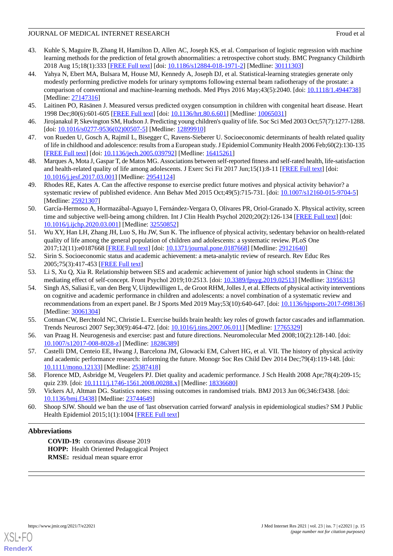- 43. Kuhle S, Maguire B, Zhang H, Hamilton D, Allen AC, Joseph KS, et al. Comparison of logistic regression with machine learning methods for the prediction of fetal growth abnormalities: a retrospective cohort study. BMC Pregnancy Childbirth 2018 Aug 15;18(1):333 [[FREE Full text](https://bmcpregnancychildbirth.biomedcentral.com/articles/10.1186/s12884-018-1971-2)] [doi: [10.1186/s12884-018-1971-2\]](http://dx.doi.org/10.1186/s12884-018-1971-2) [Medline: [30111303](http://www.ncbi.nlm.nih.gov/entrez/query.fcgi?cmd=Retrieve&db=PubMed&list_uids=30111303&dopt=Abstract)]
- <span id="page-14-0"></span>44. Yahya N, Ebert MA, Bulsara M, House MJ, Kennedy A, Joseph DJ, et al. Statistical-learning strategies generate only modestly performing predictive models for urinary symptoms following external beam radiotherapy of the prostate: a comparison of conventional and machine-learning methods. Med Phys 2016 May;43(5):2040. [doi: [10.1118/1.4944738](http://dx.doi.org/10.1118/1.4944738)] [Medline: [27147316](http://www.ncbi.nlm.nih.gov/entrez/query.fcgi?cmd=Retrieve&db=PubMed&list_uids=27147316&dopt=Abstract)]
- <span id="page-14-2"></span><span id="page-14-1"></span>45. Laitinen PO, Räsänen J. Measured versus predicted oxygen consumption in children with congenital heart disease. Heart 1998 Dec;80(6):601-605 [[FREE Full text\]](http://heart.bmj.com/cgi/pmidlookup?view=long&pmid=10065031) [doi: [10.1136/hrt.80.6.601](http://dx.doi.org/10.1136/hrt.80.6.601)] [Medline: [10065031\]](http://www.ncbi.nlm.nih.gov/entrez/query.fcgi?cmd=Retrieve&db=PubMed&list_uids=10065031&dopt=Abstract)
- <span id="page-14-8"></span>46. Jirojanakul P, Skevington SM, Hudson J. Predicting young children's quality of life. Soc Sci Med 2003 Oct;57(7):1277-1288. [doi: [10.1016/s0277-9536\(02\)00507-5](http://dx.doi.org/10.1016/s0277-9536(02)00507-5)] [Medline: [12899910](http://www.ncbi.nlm.nih.gov/entrez/query.fcgi?cmd=Retrieve&db=PubMed&list_uids=12899910&dopt=Abstract)]
- <span id="page-14-3"></span>47. von Rueden U, Gosch A, Rajmil L, Bisegger C, Ravens-Sieberer U. Socioeconomic determinants of health related quality of life in childhood and adolescence: results from a European study. J Epidemiol Community Health 2006 Feb;60(2):130-135 [[FREE Full text](http://europepmc.org/abstract/MED/16415261)] [doi: [10.1136/jech.2005.039792](http://dx.doi.org/10.1136/jech.2005.039792)] [Medline: [16415261](http://www.ncbi.nlm.nih.gov/entrez/query.fcgi?cmd=Retrieve&db=PubMed&list_uids=16415261&dopt=Abstract)]
- <span id="page-14-4"></span>48. Marques A, Mota J, Gaspar T, de Matos MG. Associations between self-reported fitness and self-rated health, life-satisfaction and health-related quality of life among adolescents. J Exerc Sci Fit 2017 Jun;15(1):8-11 [\[FREE Full text\]](https://linkinghub.elsevier.com/retrieve/pii/S1728-869X(16)30065-X) [doi: [10.1016/j.jesf.2017.03.001](http://dx.doi.org/10.1016/j.jesf.2017.03.001)] [Medline: [29541124\]](http://www.ncbi.nlm.nih.gov/entrez/query.fcgi?cmd=Retrieve&db=PubMed&list_uids=29541124&dopt=Abstract)
- <span id="page-14-5"></span>49. Rhodes RE, Kates A. Can the affective response to exercise predict future motives and physical activity behavior? a systematic review of published evidence. Ann Behav Med 2015 Oct;49(5):715-731. [doi: [10.1007/s12160-015-9704-5](http://dx.doi.org/10.1007/s12160-015-9704-5)] [Medline: [25921307](http://www.ncbi.nlm.nih.gov/entrez/query.fcgi?cmd=Retrieve&db=PubMed&list_uids=25921307&dopt=Abstract)]
- <span id="page-14-6"></span>50. García-Hermoso A, Hormazábal-Aguayo I, Fernández-Vergara O, Olivares PR, Oriol-Granado X. Physical activity, screen time and subjective well-being among children. Int J Clin Health Psychol 2020;20(2):126-134 [[FREE Full text](https://linkinghub.elsevier.com/retrieve/pii/S1697-2600(20)30014-4)] [doi: [10.1016/j.ijchp.2020.03.001\]](http://dx.doi.org/10.1016/j.ijchp.2020.03.001) [Medline: [32550852](http://www.ncbi.nlm.nih.gov/entrez/query.fcgi?cmd=Retrieve&db=PubMed&list_uids=32550852&dopt=Abstract)]
- <span id="page-14-7"></span>51. Wu XY, Han LH, Zhang JH, Luo S, Hu JW, Sun K. The influence of physical activity, sedentary behavior on health-related quality of life among the general population of children and adolescents: a systematic review. PLoS One 2017;12(11):e0187668 [\[FREE Full text](http://dx.plos.org/10.1371/journal.pone.0187668)] [doi: [10.1371/journal.pone.0187668\]](http://dx.doi.org/10.1371/journal.pone.0187668) [Medline: [29121640](http://www.ncbi.nlm.nih.gov/entrez/query.fcgi?cmd=Retrieve&db=PubMed&list_uids=29121640&dopt=Abstract)]
- <span id="page-14-10"></span><span id="page-14-9"></span>52. Sirin S. Socioeconomic status and academic achievement: a meta-analytic review of research. Rev Educ Res 2005;75(3):417-453 [[FREE Full text](https://research.steinhardt.nyu.edu/scmsAdmin/media/users/lec321/Sirin_Articles/Sirin_2005.pdf)]
- 53. Li S, Xu Q, Xia R. Relationship between SES and academic achievement of junior high school students in China: the mediating effect of self-concept. Front Psychol 2019;10:2513. [doi: [10.3389/fpsyg.2019.02513](http://dx.doi.org/10.3389/fpsyg.2019.02513)] [Medline: [31956315](http://www.ncbi.nlm.nih.gov/entrez/query.fcgi?cmd=Retrieve&db=PubMed&list_uids=31956315&dopt=Abstract)]
- <span id="page-14-11"></span>54. Singh AS, Saliasi E, van den Berg V, Uijtdewilligen L, de Groot RHM, Jolles J, et al. Effects of physical activity interventions on cognitive and academic performance in children and adolescents: a novel combination of a systematic review and recommendations from an expert panel. Br J Sports Med 2019 May;53(10):640-647. [doi: [10.1136/bjsports-2017-098136](http://dx.doi.org/10.1136/bjsports-2017-098136)] [Medline: [30061304](http://www.ncbi.nlm.nih.gov/entrez/query.fcgi?cmd=Retrieve&db=PubMed&list_uids=30061304&dopt=Abstract)]
- <span id="page-14-12"></span>55. Cotman CW, Berchtold NC, Christie L. Exercise builds brain health: key roles of growth factor cascades and inflammation. Trends Neurosci 2007 Sep;30(9):464-472. [doi: [10.1016/j.tins.2007.06.011\]](http://dx.doi.org/10.1016/j.tins.2007.06.011) [Medline: [17765329\]](http://www.ncbi.nlm.nih.gov/entrez/query.fcgi?cmd=Retrieve&db=PubMed&list_uids=17765329&dopt=Abstract)
- <span id="page-14-13"></span>56. van Praag H. Neurogenesis and exercise: past and future directions. Neuromolecular Med 2008;10(2):128-140. [doi: [10.1007/s12017-008-8028-z](http://dx.doi.org/10.1007/s12017-008-8028-z)] [Medline: [18286389\]](http://www.ncbi.nlm.nih.gov/entrez/query.fcgi?cmd=Retrieve&db=PubMed&list_uids=18286389&dopt=Abstract)
- <span id="page-14-14"></span>57. Castelli DM, Centeio EE, Hwang J, Barcelona JM, Glowacki EM, Calvert HG, et al. VII. The history of physical activity and academic performance research: informing the future. Monogr Soc Res Child Dev 2014 Dec;79(4):119-148. [doi: [10.1111/mono.12133](http://dx.doi.org/10.1111/mono.12133)] [Medline: [25387418\]](http://www.ncbi.nlm.nih.gov/entrez/query.fcgi?cmd=Retrieve&db=PubMed&list_uids=25387418&dopt=Abstract)
- <span id="page-14-15"></span>58. Florence MD, Asbridge M, Veugelers PJ. Diet quality and academic performance. J Sch Health 2008 Apr;78(4):209-15; quiz 239. [doi: [10.1111/j.1746-1561.2008.00288.x](http://dx.doi.org/10.1111/j.1746-1561.2008.00288.x)] [Medline: [18336680\]](http://www.ncbi.nlm.nih.gov/entrez/query.fcgi?cmd=Retrieve&db=PubMed&list_uids=18336680&dopt=Abstract)
- 59. Vickers AJ, Altman DG. Statistics notes: missing outcomes in randomised trials. BMJ 2013 Jun 06;346:f3438. [doi: [10.1136/bmj.f3438](http://dx.doi.org/10.1136/bmj.f3438)] [Medline: [23744649\]](http://www.ncbi.nlm.nih.gov/entrez/query.fcgi?cmd=Retrieve&db=PubMed&list_uids=23744649&dopt=Abstract)
- 60. Shoop SJW. Should we ban the use of 'last observation carried forward' analysis in epidemiological studies? SM J Public Health Epidemiol 2015;1(1):1004 [[FREE Full text](https://smjournals.com/public-health-epidemiology/download.php?file=fulltext/smjphe-v1-1004.pdf)]

## **Abbreviations**

**COVID-19:** coronavirus disease 2019 **HOPP:** Health Oriented Pedagogical Project **RMSE:** residual mean square error